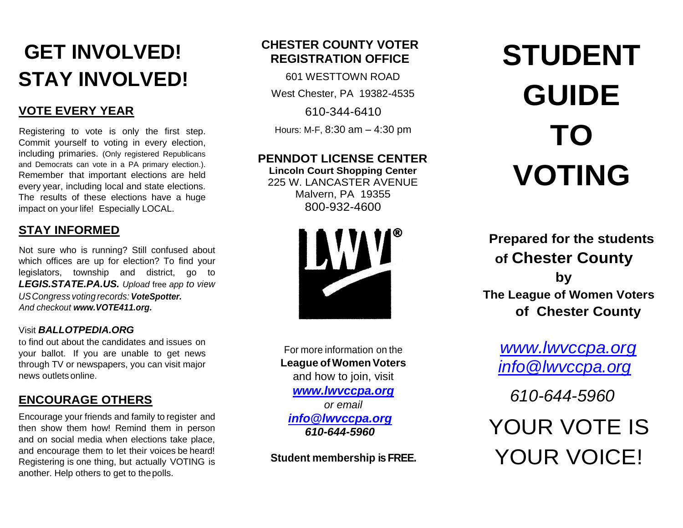## **GET INVOLVED! STAY INVOLVED!**

#### **VOTE EVERY YEAR**

Registering to vote is only the first step. Commit yourself to voting in every election, including primaries. (Only registered Republicans and Democrats can vote in a PA primary election.). Remember that important elections are held every year, including local and state elections. The results of these elections have a huge impact on your life! Especially LOCAL.

#### **STAY INFORMED**

Not sure who is running? Still confused about which offices are up for election? To find your legislators, township and district, go to *LEGIS.STATE.PA.US. Upload* free *app to view USCongress voting records: VoteSpotter. And checkout www.VOTE411.org.*

#### Visit *BALLOTPEDIA.ORG*

to find out about the candidates and issues on your ballot. If you are unable to get news through TV or newspapers, you can visit major news outlets online.

#### **ENCOURAGE OTHERS**

Encourage your friends and family to register and then show them how! Remind them in person and on social media when elections take place, and encourage them to let their voices be heard! Registering is one thing, but actually VOTING is another. Help others to get to thepolls.

#### **CHESTER COUNTY VOTER REGISTRATION OFFICE**

601 WESTTOWN ROAD

West Chester, PA 19382-4535

610-344-6410

Hours: M-F, 8:30 am – 4:30 pm

#### **PENNDOT LICENSE CENTER**

**Lincoln Court Shopping Center** 225 W. LANCASTER AVENUE Malvern, PA 19355 800-932-4600



For more information on the **League of Women Voters** and how to join, visit *[www.lwvccpa.org](http://www.lwvccpa.org/) or email [info@lwvccpa.org](mailto:info@lwvccpa.org) 610-644-5960*

**Student membership is FREE.**

# **STUDENT GUIDE TO VOTING**

**Prepared for the students of Chester County by The League of Women Voters of Chester County**

*[www.lwvccpa.org](http://www.lwvccpa.org/) [info@lwvccpa.org](mailto:info@lwvccpa.org)*

*610-644-5960*

 YOUR VOTE IS YOUR VOICE!